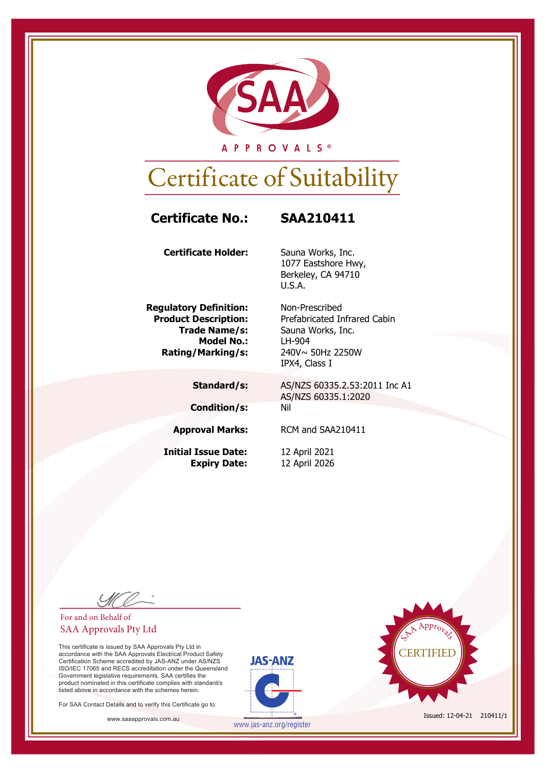

A P P R O V A L S ®

## Certificate of Suitability

### **Certificate No.: SAA210411**

**Certificate Holder:** Sauna Works, Inc.

**Regulatory Definition:** Non-Prescribed **Model No.:** LH-904 **Rating/Marking/s:** 240V~ 50Hz 2250W

**Condition/s:** Nil

**Initial Issue Date:** 12 April 2021

1077 Eastshore Hwy, Berkeley, CA 94710 U.S.A.

**Product Description:** Prefabricated Infrared Cabin **Trade Name/s:** Sauna Works, Inc. IPX4, Class I

> **Standard/s:** AS/NZS 60335.2.53:2011 Inc A1 AS/NZS 60335.1:2020

**Approval Marks:** RCM and SAA210411

**Expiry Date:** 12 April 2026

#### For and on Behalf of SAA Approvals Pty Ltd

This certificate is issued by SAA Approvals Pty Ltd in accordance with the SAA Approvals Electrical Product Safety Certification Scheme accredited by JAS-ANZ under AS/NZS ISO/IEC 17065 and RECS accreditation under the Queensland Government legislative requirements. SAA certifies the product nominated in this certificate complies with standard/s listed above in accordance with the schemes herein.

For SAA Contact Details and to verify this Certificate go to:





www.jas-anz.org/register